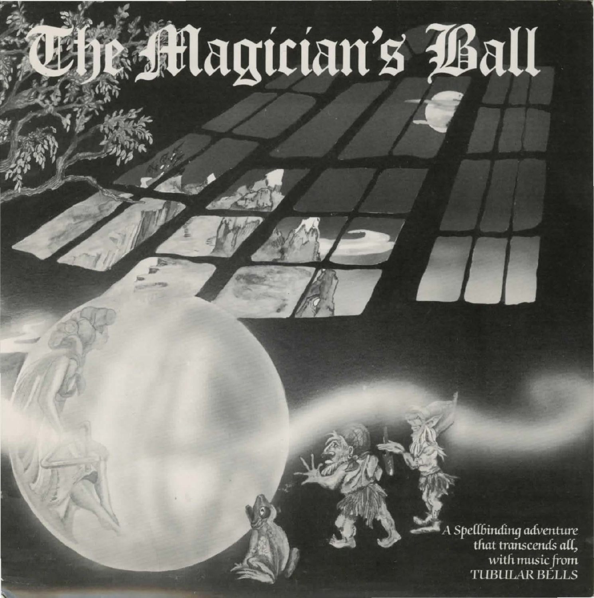# **Magician's Ball**

Spellbinding adventure<br>that transcends all, with music from **TUBULAR BELLS**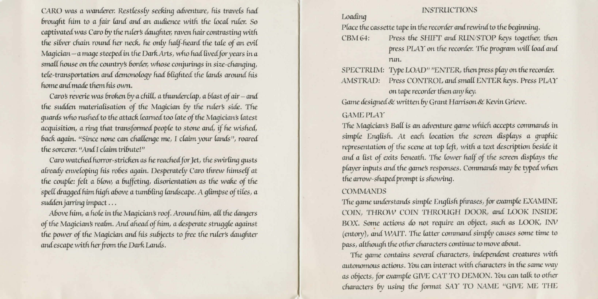CARO was a wanderer. Restlessly seeking adventure, his travels had brought him to a fair land and an audience with the local ruler. So captivated was Caro by the ruler's daughter, raven hair contrasting with the silver chain round her neck, he only half-heard the tale of an evil Magician - a mage steeped in the Dark Arts, who had lived for years in a small house on the country's border, whose conjurings in size-changing, tele-transportation and demonology had blighted the lands around his home and made them his own.

Caro's reverie was broken by a chill, a thunderclap, a blast of air-and the sudden materialisation of the Magician by the ruler's side. The quards who rushed to the attack learned too late of the Magician's latest acquisition, a ring that transformed people to stone and, if he wished, back again. "Since none can challenge me, I claim your lands", roared the sorcerer. "And I claim tribute!"

Caro watched horror-stricken as he reached for Jet, the swirling qusts already enveloping his robes again. Desperately Caro threw himself at the couple: felt a blow, a buffeting, disorientation as the wake of the spell dragged him high above a tumbling landscape. A glimpse of tiles, a sudden jarring impact...

Above him, a hole in the Magician's roof. Around him, all the dangers of the Magician's realm. And ahead of him, a desperate struggle against the power of the Magician and his subjects to free the ruler's daughter and escape with her from the Dark Lands.

## **INSTRUCTIONS**

Loading

Place the cassette tape in the recorder and rewind to the beginning.

Press the SHIFT and RUN/STOP keys together, then CBM 64: press PLAY on the recorder. The program will load and run.

SPECTRUM: Type LOAD" "ENTER, then press play on the recorder. AMSTRAD: Press CONTROL and small ENTER keys. Press PLAY on tape recorder then any key.

Game designed & written by Grant Harrison & Kevin Grieve.

## **GAME PLAY**

The Magician's Ball is an adventure game which accepts commands in simple English. At each location the screen displays a graphic representation of the scene at top left, with a text description beside it and a list of exits beneath. The lower half of the screen displays the player inputs and the game's responses. Commands may be typed when the arrow-shaped prompt is showing.

## **COMMANDS**

The game understands simple English phrases, for example EXAMINE COIN, THROW COIN THROUGH DOOR, and LOOK INSIDE BOX. Some actions do not require an object, such as LOOK, INV (entory), and WAIT. The latter command simply causes some time to pass, although the other characters continue to move about.

The game contains several characters, independent creatures with autonomous actions. You can interact with characters in the same way as objects, for example GIVE CAT TO DEMON. You can talk to other characters by using the format SAY TO NAME "GIVE ME THE